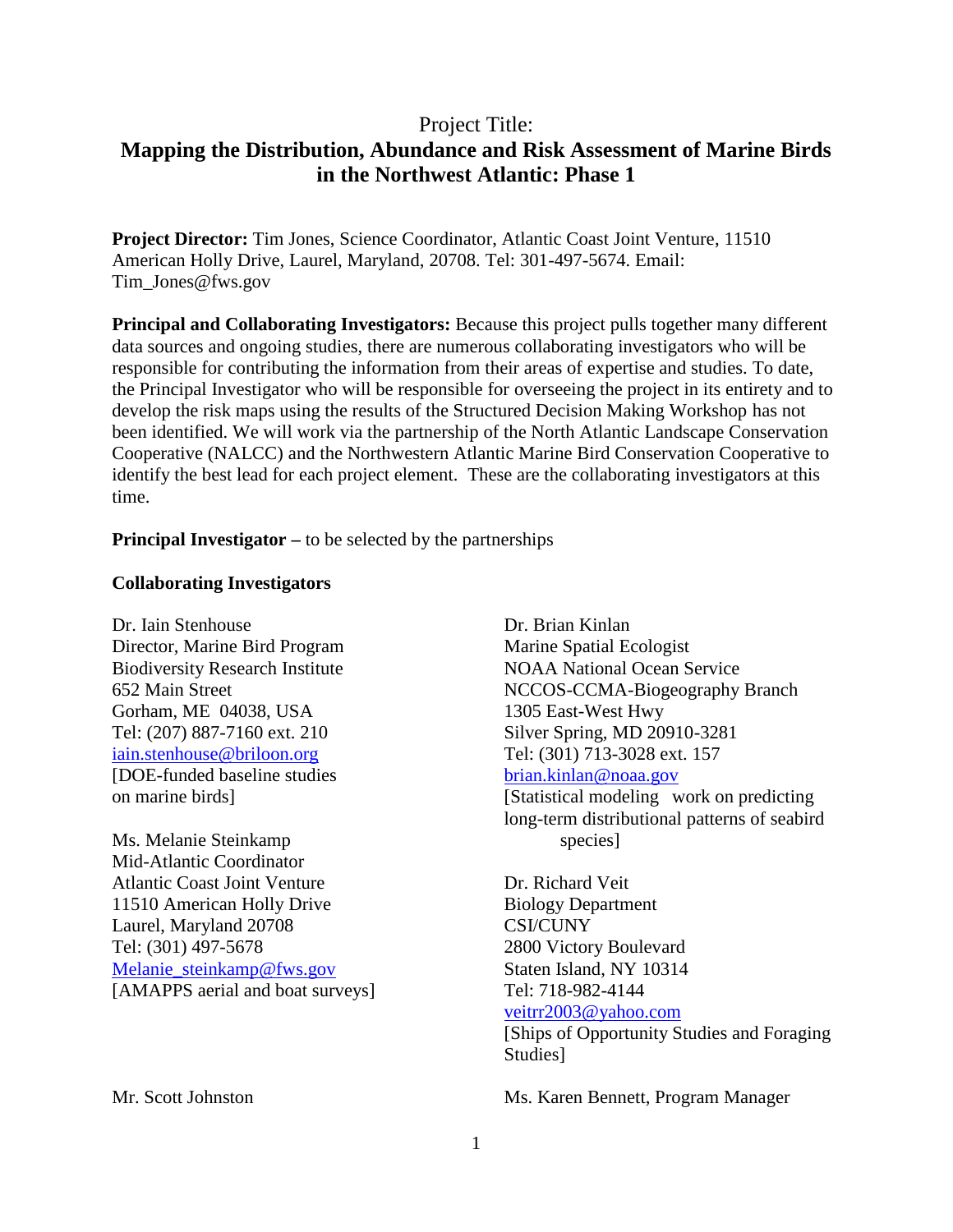# Project Title:

# **Mapping the Distribution, Abundance and Risk Assessment of Marine Birds in the Northwest Atlantic: Phase 1**

**Project Director:** Tim Jones, Science Coordinator, Atlantic Coast Joint Venture, 11510 American Holly Drive, Laurel, Maryland, 20708. Tel: 301-497-5674. Email: Tim\_Jones@fws.gov

**Principal and Collaborating Investigators:** Because this project pulls together many different data sources and ongoing studies, there are numerous collaborating investigators who will be responsible for contributing the information from their areas of expertise and studies. To date, the Principal Investigator who will be responsible for overseeing the project in its entirety and to develop the risk maps using the results of the Structured Decision Making Workshop has not been identified. We will work via the partnership of the North Atlantic Landscape Conservation Cooperative (NALCC) and the Northwestern Atlantic Marine Bird Conservation Cooperative to identify the best lead for each project element. These are the collaborating investigators at this time.

**Principal Investigator** – to be selected by the partnerships

### **Collaborating Investigators**

Dr. Iain Stenhouse Dr. Brian Kinlan Director, Marine Bird Program Marine Spatial Ecologist Gorham, ME 04038, USA 1305 East-West Hwy Tel: (207) 887-7160 ext. 210 Silver Spring, MD 20910-3281 iain.stenhouse@briloon.org Tel: (301) 713-3028 ext. 157 [DOE-funded baseline studies brian.kinlan@noaa.gov

Ms. Melanie Steinkamp species species species species species species species species species species species species species species species species species species species species species species species species species Mid-Atlantic Coordinator Atlantic Coast Joint Venture Dr. Richard Veit 11510 American Holly Drive Biology Department Laurel, Maryland 20708 CSI/CUNY Tel: (301) 497-5678 2800 Victory Boulevard Melanie\_steinkamp@fws.gov Staten Island, NY 10314 [AMAPPS aerial and boat surveys] Tel: 718-982-4144

Biodiversity Research Institute NOAA National Ocean Service 652 Main Street NCCOS-CCMA-Biogeography Branch on marine birds] [Statistical modeling work on predicting long-term distributional patterns of seabird

veitrr2003@yahoo.com

[Ships of Opportunity Studies and Foraging Studies]

Mr. Scott Johnston Ms. Karen Bennett, Program Manager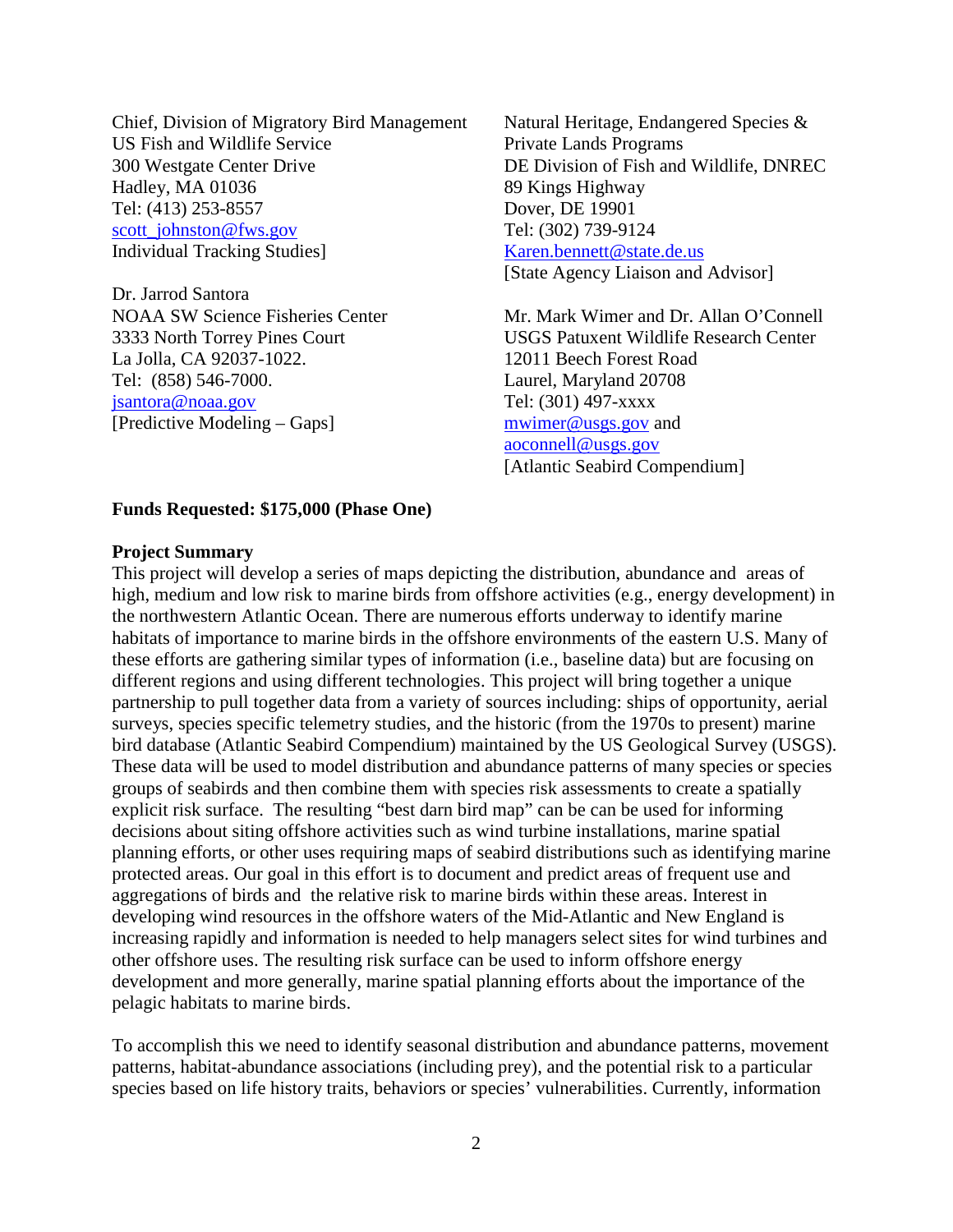Chief, Division of Migratory Bird Management Natural Heritage, Endangered Species & US Fish and Wildlife Service Private Lands Programs 300 Westgate Center Drive DE Division of Fish and Wildlife, DNREC Hadley, MA 01036 89 Kings Highway Tel: (413) 253-8557 Dover, DE 19901 scott\_johnston@fws.gov Tel: (302) 739-9124 Individual Tracking Studies] Karen.bennett@state.de.us

Dr. Jarrod Santora La Jolla, CA 92037-1022. 12011 Beech Forest Road Tel: (858) 546-7000. Laurel, Maryland 20708 jsantora@noaa.gov Tel: (301) 497-xxxx [Predictive Modeling – Gaps].

[State Agency Liaison and Advisor]

NOAA SW Science Fisheries Center Mr. Mark Wimer and Dr. Allan O'Connell 3333 North Torrey Pines Court USGS Patuxent Wildlife Research Center aoconnell@usgs.gov [Atlantic Seabird Compendium]

## **Funds Requested: \$175,000 (Phase One)**

#### **Project Summary**

This project will develop a series of maps depicting the distribution, abundance and areas of high, medium and low risk to marine birds from offshore activities (e.g., energy development) in the northwestern Atlantic Ocean. There are numerous efforts underway to identify marine habitats of importance to marine birds in the offshore environments of the eastern U.S. Many of these efforts are gathering similar types of information (i.e., baseline data) but are focusing on different regions and using different technologies. This project will bring together a unique partnership to pull together data from a variety of sources including: ships of opportunity, aerial surveys, species specific telemetry studies, and the historic (from the 1970s to present) marine bird database (Atlantic Seabird Compendium) maintained by the US Geological Survey (USGS). These data will be used to model distribution and abundance patterns of many species or species groups of seabirds and then combine them with species risk assessments to create a spatially explicit risk surface. The resulting "best darn bird map" can be can be used for informing decisions about siting offshore activities such as wind turbine installations, marine spatial planning efforts, or other uses requiring maps of seabird distributions such as identifying marine protected areas. Our goal in this effort is to document and predict areas of frequent use and aggregations of birds and the relative risk to marine birds within these areas. Interest in developing wind resources in the offshore waters of the Mid-Atlantic and New England is increasing rapidly and information is needed to help managers select sites for wind turbines and other offshore uses. The resulting risk surface can be used to inform offshore energy development and more generally, marine spatial planning efforts about the importance of the pelagic habitats to marine birds.

To accomplish this we need to identify seasonal distribution and abundance patterns, movement patterns, habitat-abundance associations (including prey), and the potential risk to a particular species based on life history traits, behaviors or species' vulnerabilities. Currently, information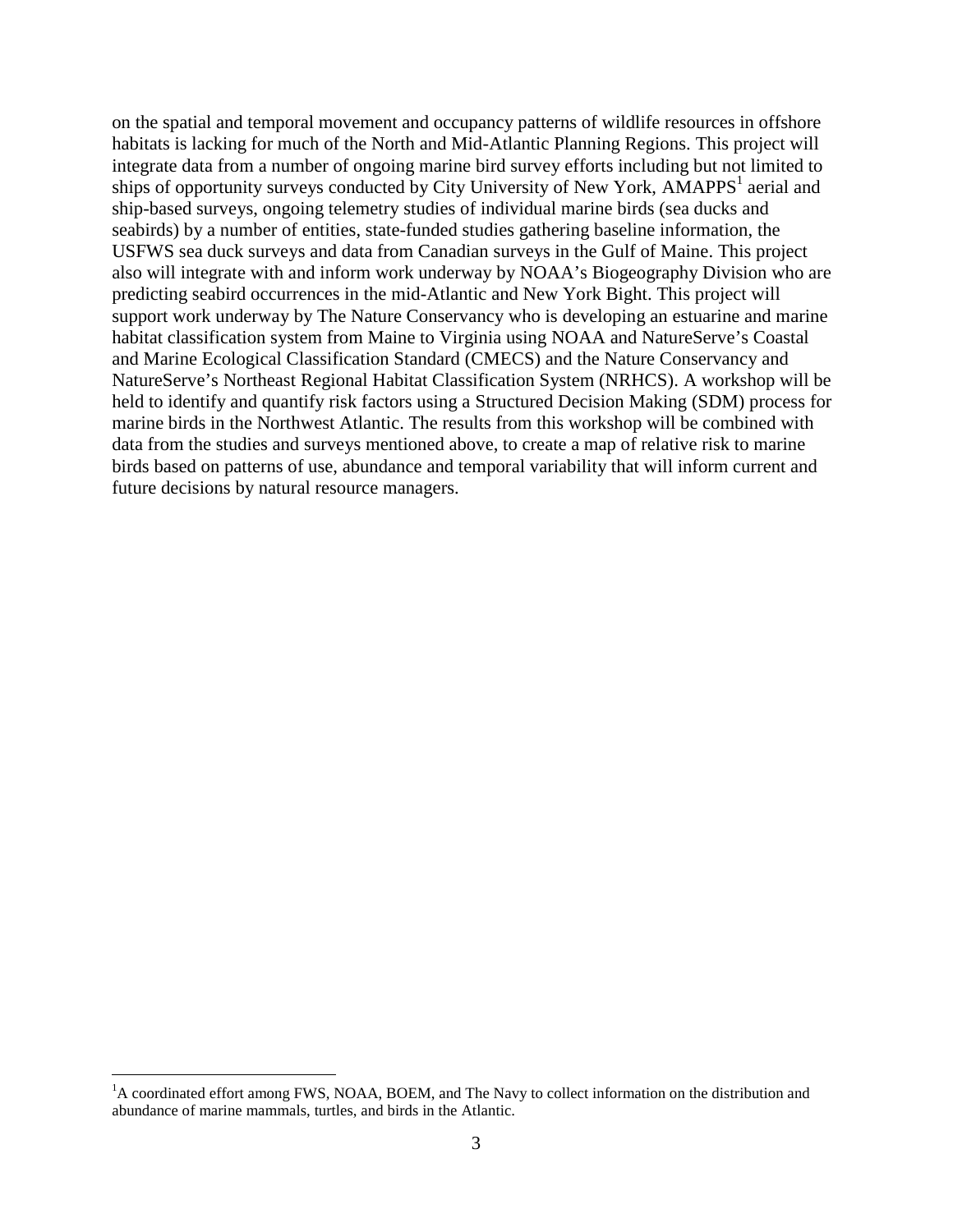on the spatial and temporal movement and occupancy patterns of wildlife resources in offshore habitats is lacking for much of the North and Mid-Atlantic Planning Regions. This project will integrate data from a number of ongoing marine bird survey efforts including but not limited to ships of opportunity surveys conducted by City University of New York,  $AMAPPS<sup>1</sup>$  aerial and ship-based surveys, ongoing telemetry studies of individual marine birds (sea ducks and seabirds) by a number of entities, state-funded studies gathering baseline information, the USFWS sea duck surveys and data from Canadian surveys in the Gulf of Maine. This project also will integrate with and inform work underway by NOAA's Biogeography Division who are predicting seabird occurrences in the mid-Atlantic and New York Bight. This project will support work underway by The Nature Conservancy who is developing an estuarine and marine habitat classification system from Maine to Virginia using NOAA and NatureServe's Coastal and Marine Ecological Classification Standard (CMECS) and the Nature Conservancy and NatureServe's Northeast Regional Habitat Classification System (NRHCS). A workshop will be held to identify and quantify risk factors using a Structured Decision Making (SDM) process for marine birds in the Northwest Atlantic. The results from this workshop will be combined with data from the studies and surveys mentioned above, to create a map of relative risk to marine birds based on patterns of use, abundance and temporal variability that will inform current and future decisions by natural resource managers.

 ${}^{1}$ A coordinated effort among FWS, NOAA, BOEM, and The Navy to collect information on the distribution and abundance of marine mammals, turtles, and birds in the Atlantic.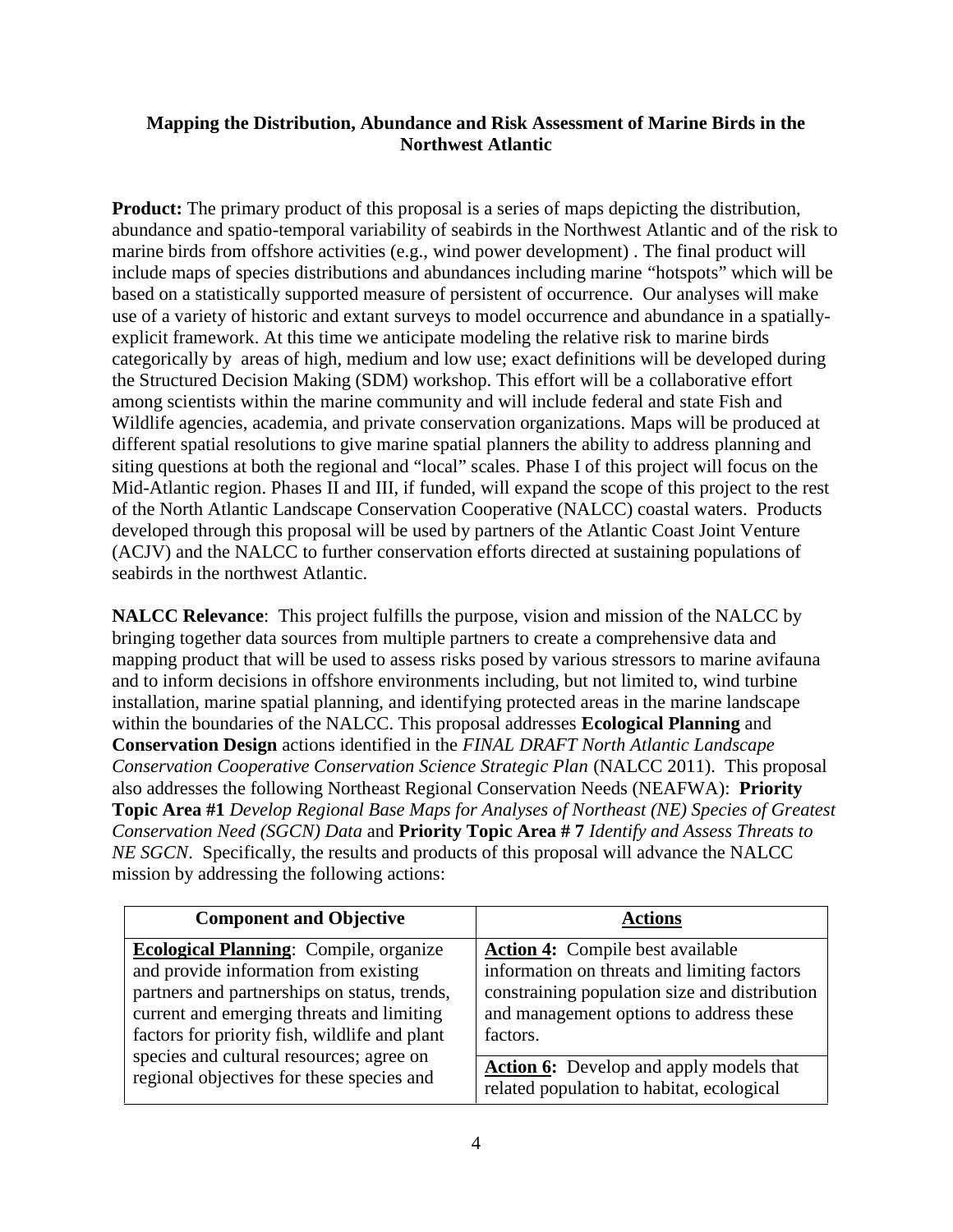# **Mapping the Distribution, Abundance and Risk Assessment of Marine Birds in the Northwest Atlantic**

**Product:** The primary product of this proposal is a series of maps depicting the distribution, abundance and spatio-temporal variability of seabirds in the Northwest Atlantic and of the risk to marine birds from offshore activities (e.g., wind power development) . The final product will include maps of species distributions and abundances including marine "hotspots" which will be based on a statistically supported measure of persistent of occurrence. Our analyses will make use of a variety of historic and extant surveys to model occurrence and abundance in a spatially explicit framework. At this time we anticipate modeling the relative risk to marine birds categorically by areas of high, medium and low use; exact definitions will be developed during the Structured Decision Making (SDM) workshop. This effort will be a collaborative effort among scientists within the marine community and will include federal and state Fish and Wildlife agencies, academia, and private conservation organizations. Maps will be produced at different spatial resolutions to give marine spatial planners the ability to address planning and siting questions at both the regional and "local" scales. Phase I of this project will focus on the Mid-Atlantic region. Phases II and III, if funded, will expand the scope of this project to the rest of the North Atlantic Landscape Conservation Cooperative (NALCC) coastal waters. Products developed through this proposal will be used by partners of the Atlantic Coast Joint Venture (ACJV) and the NALCC to further conservation efforts directed at sustaining populations of seabirds in the northwest Atlantic.

**NALCC Relevance**: This project fulfills the purpose, vision and mission of the NALCC by bringing together data sources from multiple partners to create a comprehensive data and mapping product that will be used to assess risks posed by various stressors to marine avifauna and to inform decisions in offshore environments including, but not limited to, wind turbine installation, marine spatial planning, and identifying protected areas in the marine landscape within the boundaries of the NALCC. This proposal addresses **Ecological Planning** and **Conservation Design** actions identified in the *FINAL DRAFT North Atlantic Landscape Conservation Cooperative Conservation Science Strategic Plan* (NALCC 2011). This proposal also addresses the following Northeast Regional Conservation Needs (NEAFWA): **Priority Topic Area #1** *Develop Regional Base Maps for Analyses of Northeast (NE) Species of Greatest Conservation Need (SGCN) Data* and **Priority Topic Area # 7** *Identify and Assess Threats to NE SGCN*. Specifically, the results and products of this proposal will advance the NALCC mission by addressing the following actions:

| <b>Component and Objective</b>                | <b>Actions</b>                                 |
|-----------------------------------------------|------------------------------------------------|
| <b>Ecological Planning:</b> Compile, organize | <b>Action 4:</b> Compile best available        |
| and provide information from existing         | information on threats and limiting factors    |
| partners and partnerships on status, trends,  | constraining population size and distribution  |
| current and emerging threats and limiting     | and management options to address these        |
| factors for priority fish, wildlife and plant | factors.                                       |
| species and cultural resources; agree on      | <b>Action 6:</b> Develop and apply models that |
| regional objectives for these species and     | related population to habitat, ecological      |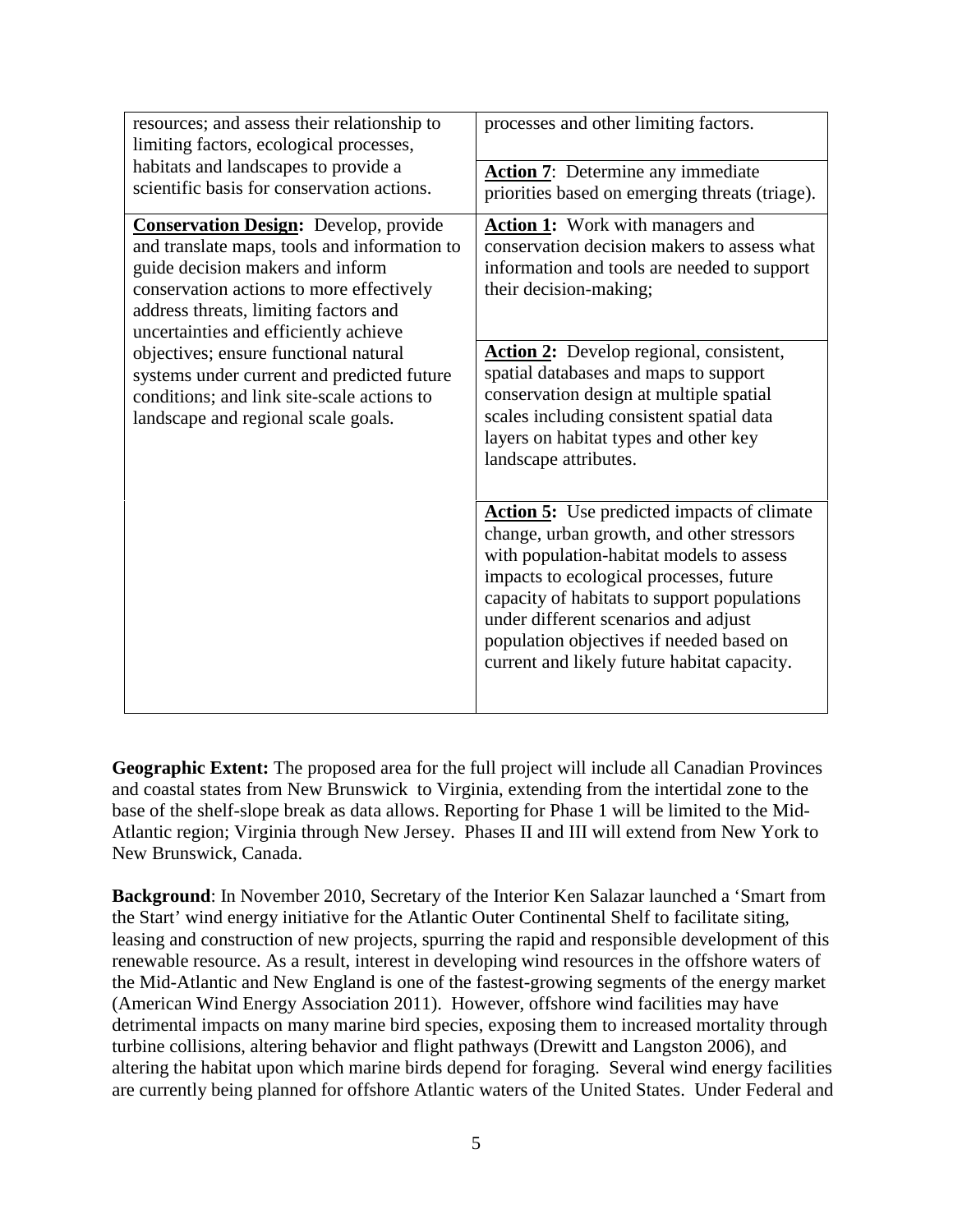| resources; and assess their relationship to<br>limiting factors, ecological processes,<br>habitats and landscapes to provide a                                                                                                                                 | processes and other limiting factors.                                                                                                                                                                                                                                                                                                                                   |  |
|----------------------------------------------------------------------------------------------------------------------------------------------------------------------------------------------------------------------------------------------------------------|-------------------------------------------------------------------------------------------------------------------------------------------------------------------------------------------------------------------------------------------------------------------------------------------------------------------------------------------------------------------------|--|
| scientific basis for conservation actions.                                                                                                                                                                                                                     | <b>Action 7:</b> Determine any immediate<br>priorities based on emerging threats (triage).                                                                                                                                                                                                                                                                              |  |
| <b>Conservation Design:</b> Develop, provide<br>and translate maps, tools and information to<br>guide decision makers and inform<br>conservation actions to more effectively<br>address threats, limiting factors and<br>uncertainties and efficiently achieve | <b>Action 1:</b> Work with managers and<br>conservation decision makers to assess what<br>information and tools are needed to support<br>their decision-making;                                                                                                                                                                                                         |  |
| objectives; ensure functional natural<br>systems under current and predicted future<br>conditions; and link site-scale actions to<br>landscape and regional scale goals.                                                                                       | Action 2: Develop regional, consistent,<br>spatial databases and maps to support<br>conservation design at multiple spatial<br>scales including consistent spatial data<br>layers on habitat types and other key<br>landscape attributes.                                                                                                                               |  |
|                                                                                                                                                                                                                                                                | <b>Action 5:</b> Use predicted impacts of climate<br>change, urban growth, and other stressors<br>with population-habitat models to assess<br>impacts to ecological processes, future<br>capacity of habitats to support populations<br>under different scenarios and adjust<br>population objectives if needed based on<br>current and likely future habitat capacity. |  |

**Geographic Extent:** The proposed area for the full project will include all Canadian Provinces and coastal states from New Brunswick to Virginia, extending from the intertidal zone to the base of the shelf-slope break as data allows. Reporting for Phase 1 will be limited to the Mid- Atlantic region; Virginia through New Jersey. Phases II and IIIwill extend from New York to New Brunswick, Canada.

**Background**: In November 2010, Secretary of the Interior Ken Salazar launched a 'Smart from the Start' wind energy initiative for the Atlantic Outer Continental Shelf to facilitate siting, leasing and construction of new projects, spurring the rapid and responsible development of this renewable resource. As a result, interest in developing wind resources in the offshore waters of the Mid-Atlantic and New England is one of the fastest-growing segments of the energy market (American Wind Energy Association 2011). However, offshore wind facilities may have detrimental impacts on many marine bird species, exposing them to increased mortality through turbine collisions, altering behavior and flight pathways (Drewitt and Langston 2006), and altering the habitat upon which marine birds depend for foraging. Several wind energy facilities are currently being planned for offshore Atlantic waters of the United States. Under Federal and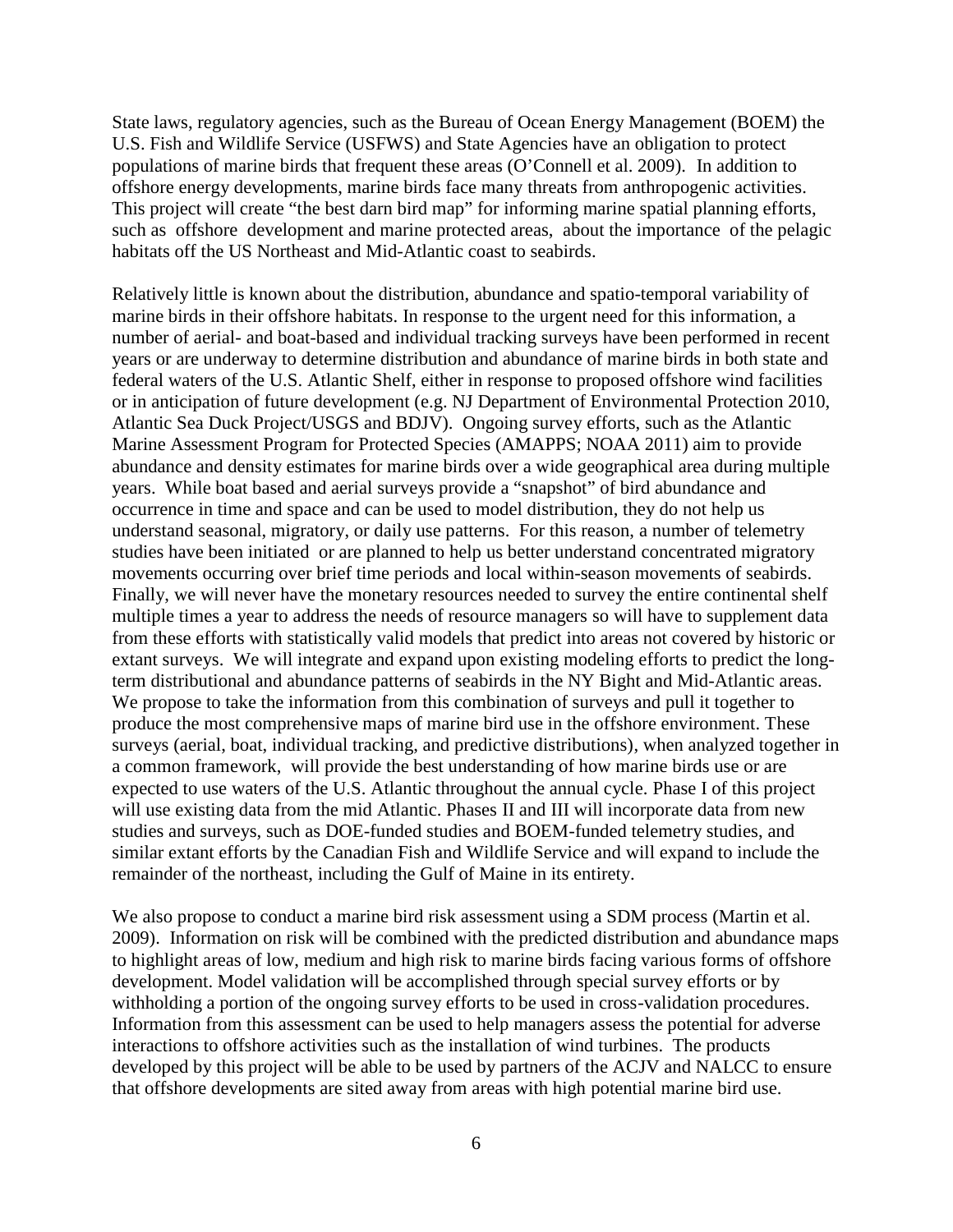State laws, regulatory agencies, such as the Bureau of Ocean Energy Management (BOEM) the U.S. Fish and Wildlife Service (USFWS) and State Agencies have an obligation to protect populations of marine birds that frequent these areas (O'Connell et al. 2009). In addition to offshore energy developments, marine birds face many threats from anthropogenic activities. This project will create "the best darn bird map" for informing marine spatial planning efforts, such as offshore development and marine protected areas, about the importance of the pelagic habitats off the US Northeast and Mid-Atlantic coast to seabirds.

Relatively little is known about the distribution, abundance and spatio-temporal variability of marine birds in their offshore habitats. In response to the urgent need for this information, a number of aerial- and boat-based and individual tracking surveys have been performed in recent years or are underway to determine distribution and abundance of marine birds in both state and federal waters of the U.S. Atlantic Shelf, either in response to proposed offshore wind facilities or in anticipation of future development (e.g. NJ Department of Environmental Protection 2010, Atlantic Sea Duck Project/USGS and BDJV). Ongoing survey efforts, such as the Atlantic Marine Assessment Program for Protected Species (AMAPPS; NOAA 2011) aim to provide abundance and density estimates for marine birds over a wide geographical area during multiple years. While boat based and aerial surveys provide a "snapshot" of bird abundance and occurrence in time and space and can be used to model distribution, they do not help us understand seasonal, migratory, or daily use patterns. For this reason, a number of telemetry studies have been initiated or are planned to help us better understand concentrated migratory movements occurring over brief time periods and local within-season movements of seabirds. Finally, we will never have the monetary resources needed to survey the entire continental shelf multiple times a year to address the needs of resource managers so will have to supplement data from these efforts with statistically valid models that predict into areas not covered by historic or extant surveys. We will integrate and expand upon existing modeling efforts to predict the longterm distributional and abundance patterns of seabirds in the NY Bight and Mid-Atlantic areas. We propose to take the information from this combination of surveys and pull it together to produce the most comprehensive maps of marine bird use in the offshore environment. These surveys (aerial, boat, individual tracking, and predictive distributions), when analyzed together in a common framework, will provide the best understanding of how marine birds use or are expected to use waters of the U.S. Atlantic throughout the annual cycle. Phase I of this project will use existing data from the mid Atlantic. Phases II and III will incorporate data from new studies and surveys, such as DOE-funded studies and BOEM-funded telemetry studies, and similar extant efforts by the Canadian Fish and Wildlife Service and will expand to include the remainder of the northeast, including the Gulf of Maine in its entirety.

We also propose to conduct a marine bird risk assessment using a SDM process (Martin et al. 2009). Information on risk will be combined with the predicted distribution and abundance maps to highlight areas of low, medium and high risk to marine birds facing various forms of offshore development. Model validation will be accomplished through special survey efforts or by withholding a portion of the ongoing survey efforts to be used in cross-validation procedures. Information from this assessment can be used to help managers assess the potential for adverse interactions to offshore activities such as the installation of wind turbines. The products developed by this project will be able to be used by partners of the ACJV and NALCC to ensure that offshore developments are sited away from areas with high potential marine bird use.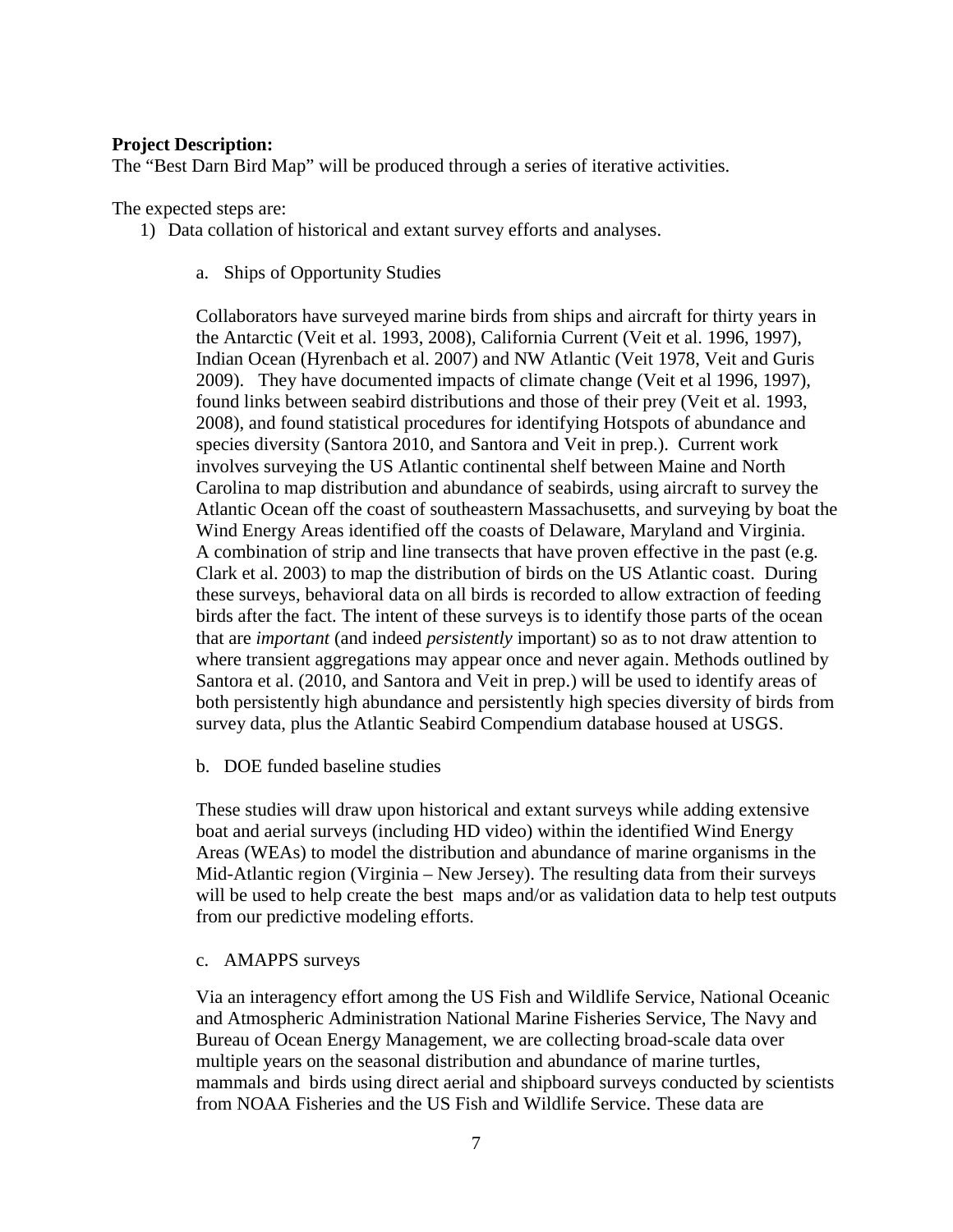### **Project Description:**

The "Best Darn Bird Map" will be produced through a series of iterative activities.

The expected steps are:

- 1) Data collation of historical and extant survey efforts and analyses.
	- a. Ships of Opportunity Studies

Collaborators have surveyed marine birds from ships and aircraft for thirty years in the Antarctic (Veit et al. 1993, 2008), California Current (Veit et al. 1996, 1997), Indian Ocean (Hyrenbach et al. 2007) and NW Atlantic (Veit 1978, Veit and Guris 2009). They have documented impacts of climate change (Veit et al 1996, 1997), found links between seabird distributions and those of their prey (Veit et al. 1993, 2008), and found statistical procedures for identifying Hotspots of abundance and species diversity (Santora 2010, and Santora and Veit in prep.). Current work involves surveying the US Atlantic continental shelf between Maine and North Carolina to map distribution and abundance of seabirds, using aircraft to survey the Atlantic Ocean off the coast of southeastern Massachusetts, and surveying by boat the Wind Energy Areas identified off the coasts of Delaware, Maryland and Virginia. A combination of strip and line transects that have proven effective in the past (e.g. Clark et al. 2003) to map the distribution of birds on the US Atlantic coast. During these surveys, behavioral data on all birds is recorded to allow extraction of feeding birds after the fact. The intent of these surveys is to identify those parts of the ocean that are *important* (and indeed *persistently* important) so as to not draw attention to where transient aggregations may appear once and never again. Methods outlined by Santora et al. (2010, and Santora and Veit in prep.) will be used to identify areas of both persistently high abundance and persistently high species diversity of birds from survey data, plus the Atlantic Seabird Compendium database housed at USGS.

b. DOE funded baseline studies

These studies will draw upon historical and extant surveys while adding extensive boat and aerial surveys (including HD video) within the identified Wind Energy Areas (WEAs) to model the distribution and abundance of marine organisms in the Mid-Atlantic region (Virginia – New Jersey). The resulting data from their surveys will be used to help create the best maps and/or as validation data to help test outputs from our predictive modeling efforts.

c. AMAPPS surveys

Via an interagency effort among the US Fish and Wildlife Service, National Oceanic and Atmospheric Administration National Marine Fisheries Service, The Navy and Bureau of Ocean Energy Management, we are collecting broad-scale data over multiple years on the seasonal distribution and abundance of marine turtles, mammals and birds using direct aerial and shipboard surveys conducted by scientists from NOAA Fisheries and the US Fish and Wildlife Service. These data are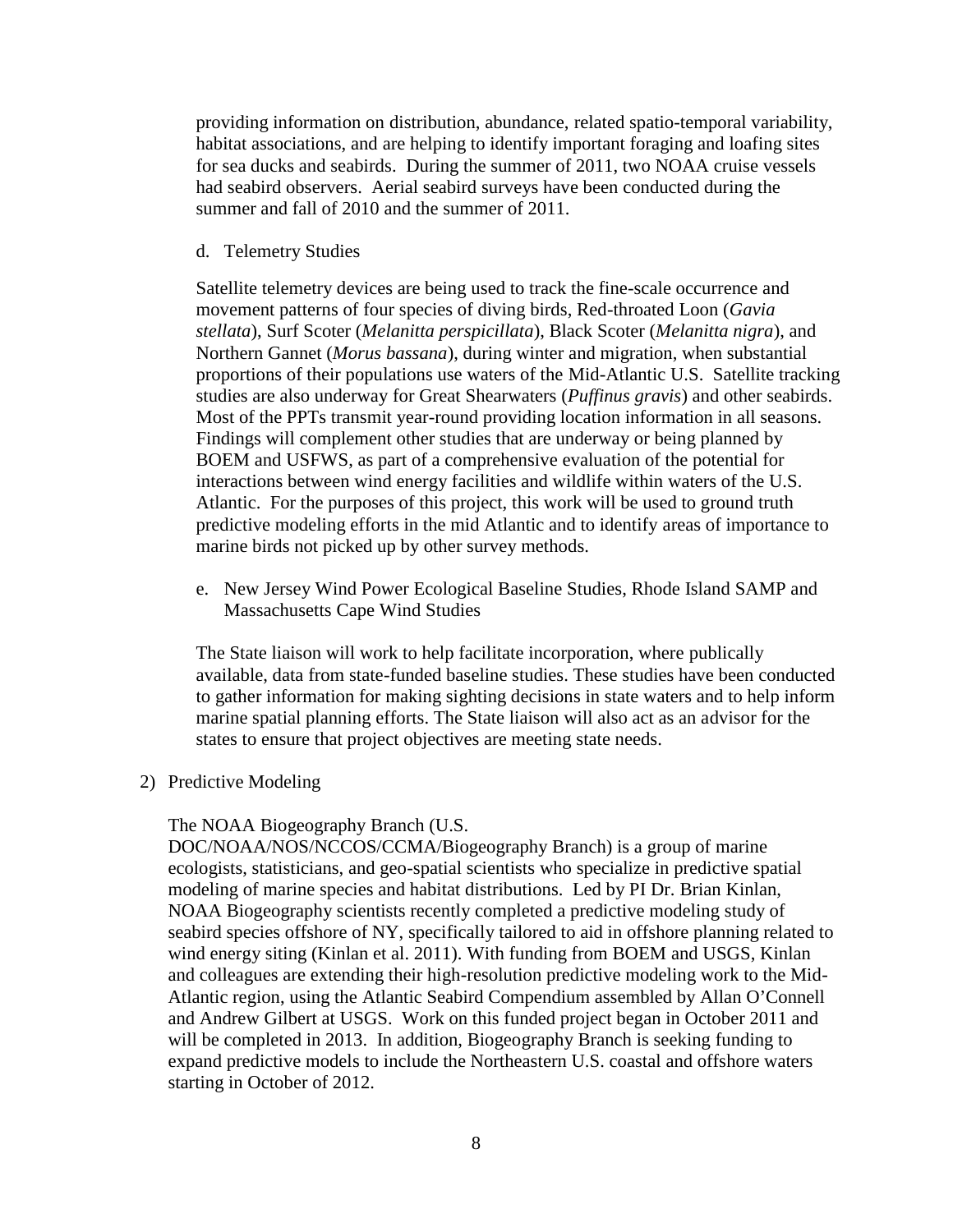providing information on distribution, abundance, related spatio-temporal variability, habitat associations, and are helping to identify important foraging and loafing sites for sea ducks and seabirds. During the summer of 2011, two NOAA cruise vessels had seabird observers. Aerial seabird surveys have been conducted during the summer and fall of 2010 and the summer of 2011.

d. Telemetry Studies

Satellite telemetry devices are being used to track the fine-scale occurrence and movement patterns of four species of diving birds, Red-throated Loon (*Gavia stellata*), Surf Scoter (*Melanitta perspicillata*), Black Scoter (*Melanitta nigra*), and Northern Gannet (*Morus bassana*), during winter and migration, when substantial proportions of their populations use waters of the Mid-Atlantic U.S. Satellite tracking studies are also underway for Great Shearwaters (*Puffinus gravis*) and other seabirds. Most of the PPTs transmit year-round providing location information in all seasons. Findings will complement other studies that are underway or being planned by BOEM and USFWS, as part of a comprehensive evaluation of the potential for interactions between wind energy facilities and wildlife within waters of the U.S. Atlantic. For the purposes of this project, this work will be used to ground truth predictive modeling efforts in the mid Atlantic and to identify areas of importance to marine birds not picked up by other survey methods.

e. New Jersey Wind Power Ecological Baseline Studies, Rhode Island SAMP and Massachusetts Cape Wind Studies

The State liaison will work to help facilitate incorporation, where publically available, data from state-funded baseline studies. These studies have been conducted to gather information for making sighting decisions in state waters and to help inform marine spatial planning efforts. The State liaison will also act as an advisor for the states to ensure that project objectives are meeting state needs.

2) Predictive Modeling

The NOAA Biogeography Branch (U.S.

DOC/NOAA/NOS/NCCOS/CCMA/Biogeography Branch) is a group of marine ecologists, statisticians, and geo-spatial scientists who specialize in predictive spatial modeling of marine species and habitat distributions. Led by PI Dr. Brian Kinlan, NOAA Biogeography scientists recently completed a predictive modeling study of seabird species offshore of NY, specifically tailored to aid in offshore planning related to wind energy siting (Kinlan et al. 2011). With funding from BOEM and USGS, Kinlan and colleagues are extending their high-resolution predictive modeling work to the Mid- Atlantic region, using the Atlantic Seabird Compendium assembled by Allan O'Connell and Andrew Gilbert at USGS. Work on this funded project began in October 2011 and will be completed in 2013. In addition, Biogeography Branch is seeking funding to expand predictive models to include the Northeastern U.S. coastal and offshore waters starting in October of 2012.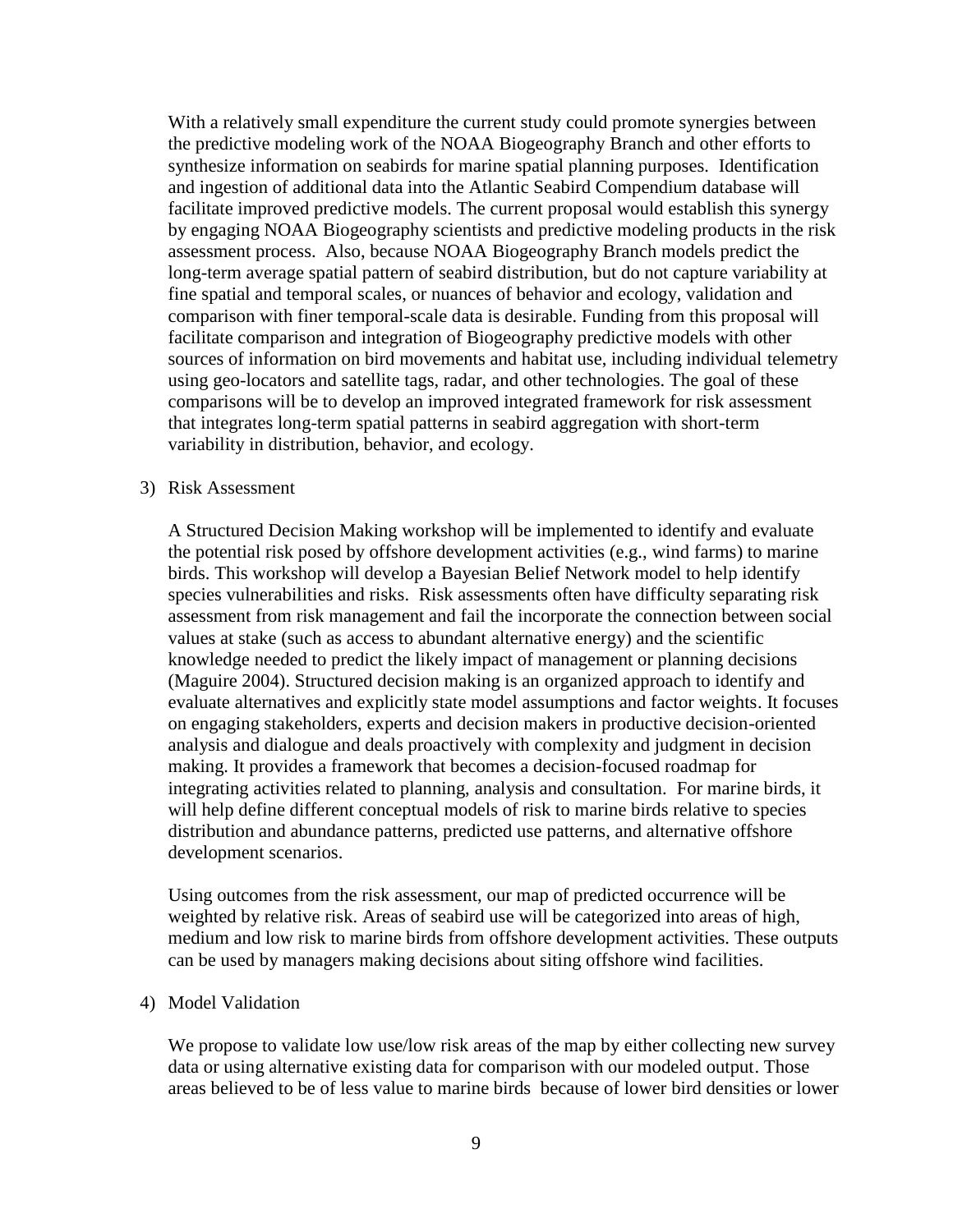With a relatively small expenditure the current study could promote synergies between the predictive modeling work of the NOAA Biogeography Branch and other efforts to synthesize information on seabirds for marine spatial planning purposes. Identification and ingestion of additional data into the Atlantic Seabird Compendium database will facilitate improved predictive models. The current proposal would establish this synergy by engaging NOAA Biogeography scientists and predictive modeling products in the risk assessment process. Also, because NOAA Biogeography Branch models predict the long-term average spatial pattern of seabird distribution, but do not capture variability at fine spatial and temporal scales, or nuances of behavior and ecology, validation and comparison with finer temporal-scale data is desirable. Funding from this proposal will facilitate comparison and integration of Biogeography predictive models with other sources of information on bird movements and habitat use, including individual telemetry using geo-locators and satellite tags, radar, and other technologies. The goal of these comparisons will be to develop an improved integrated framework for risk assessment that integrates long-term spatial patterns in seabird aggregation with short-term variability in distribution, behavior, and ecology.

#### 3) Risk Assessment

A Structured Decision Making workshop will be implemented to identify and evaluate the potential risk posed by offshore development activities (e.g., wind farms) to marine birds. This workshop will develop a Bayesian Belief Network model to help identify species vulnerabilities and risks. Risk assessments often have difficulty separating risk assessment from risk management and fail the incorporate the connection between social values at stake (such as access to abundant alternative energy) and the scientific knowledge needed to predict the likely impact of management or planning decisions (Maguire 2004). Structured decision making is an organized approach to identify and evaluate alternatives and explicitly state model assumptions and factor weights. It focuses on engaging stakeholders, experts and decision makers in productive decision-oriented analysis and dialogue and deals proactively with complexity and judgment in decision making. It provides a framework that becomes a decision-focused roadmap for integrating activities related to planning, analysis and consultation. For marine birds, it will help define different conceptual models of risk to marine birds relative to species distribution and abundance patterns, predicted use patterns, and alternative offshore development scenarios.

Using outcomes from the risk assessment, our map of predicted occurrence will be weighted by relative risk. Areas of seabird use will be categorized into areas of high, medium and low risk to marine birds from offshore development activities. These outputs can be used by managers making decisions about siting offshore wind facilities.

#### 4) Model Validation

We propose to validate low use/low risk areas of the map by either collecting new survey data or using alternative existing data for comparison with our modeled output. Those areas believed to be of less value to marine birds because of lower bird densities or lower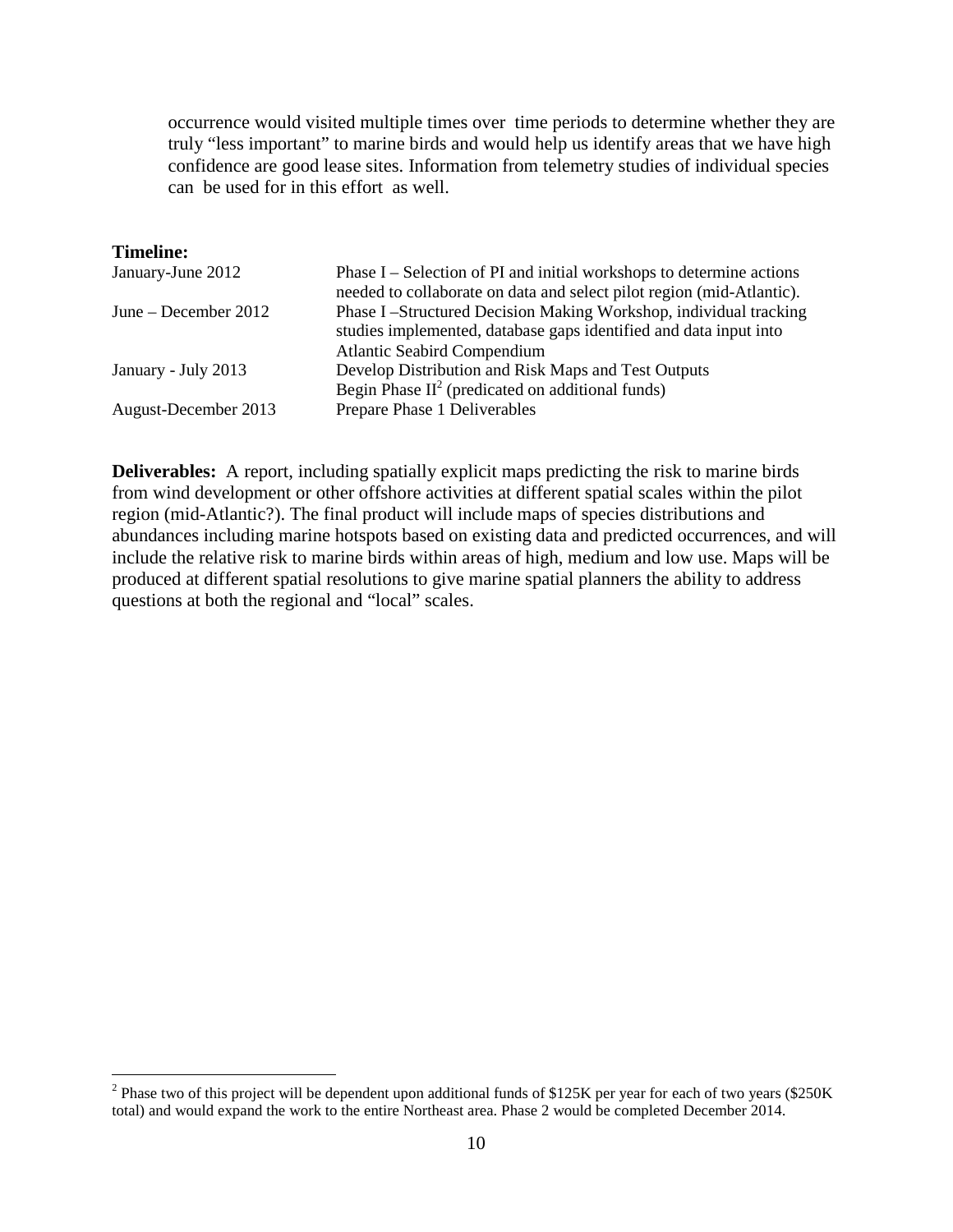occurrence would visited multiple times over time periods to determine whether they are truly "less important" to marine birds and would help us identify areas that we have high confidence are good lease sites. Information from telemetry studies of individual species can be used for in this effort as well.

#### **Timeline:**

| January-June 2012    | Phase I – Selection of PI and initial workshops to determine actions  |
|----------------------|-----------------------------------------------------------------------|
|                      | needed to collaborate on data and select pilot region (mid-Atlantic). |
| June – December 2012 | Phase I – Structured Decision Making Workshop, individual tracking    |
|                      | studies implemented, database gaps identified and data input into     |
|                      | <b>Atlantic Seabird Compendium</b>                                    |
| January - July 2013  | Develop Distribution and Risk Maps and Test Outputs                   |
|                      | Begin Phase $II^2$ (predicated on additional funds)                   |
| August-December 2013 | Prepare Phase 1 Deliverables                                          |

**Deliverables:** A report, including spatially explicit maps predicting the risk to marine birds from wind development or other offshore activities at different spatial scales within the pilot region (mid-Atlantic?). The final product will include maps of species distributions and abundances including marine hotspots based on existing data and predicted occurrences, and will include the relative risk to marine birds within areas of high, medium and low use. Maps will be produced at different spatial resolutions to give marine spatial planners the ability to address questions at both the regional and "local" scales.

 $2$  Phase two of this project will be dependent upon additional funds of \$125K per year for each of two years (\$250K) total) and would expand the work to the entire Northeast area. Phase 2 would be completed December 2014.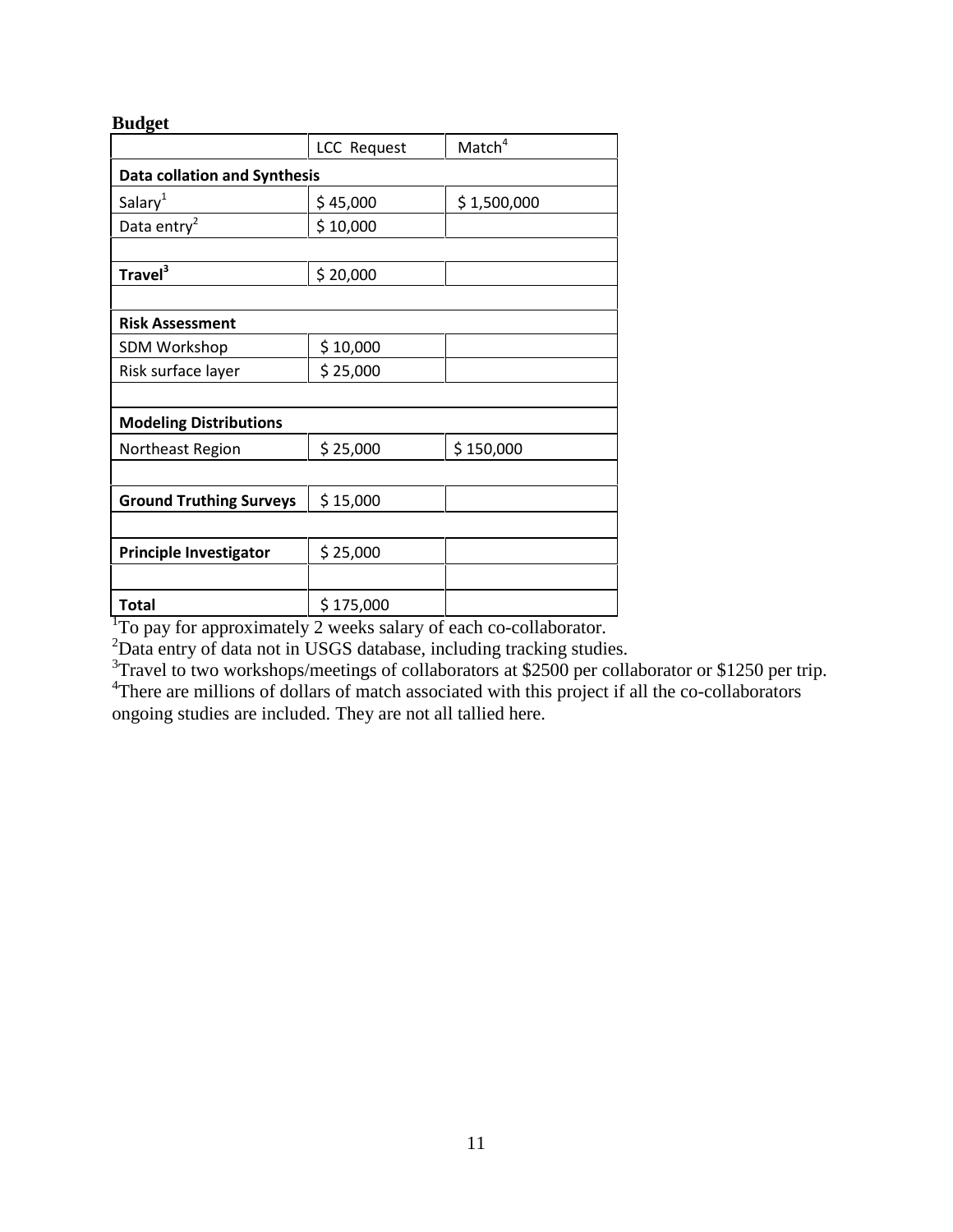## **Budget**

|                                     | <b>LCC Request</b> | Match <sup>4</sup> |  |  |
|-------------------------------------|--------------------|--------------------|--|--|
| <b>Data collation and Synthesis</b> |                    |                    |  |  |
| Salary <sup>1</sup>                 | \$45,000           | \$1,500,000        |  |  |
| Data entry <sup>2</sup>             | \$10,000           |                    |  |  |
|                                     |                    |                    |  |  |
| Travel <sup>3</sup>                 | \$20,000           |                    |  |  |
|                                     |                    |                    |  |  |
| <b>Risk Assessment</b>              |                    |                    |  |  |
| <b>SDM Workshop</b>                 | \$10,000           |                    |  |  |
| Risk surface layer                  | \$25,000           |                    |  |  |
|                                     |                    |                    |  |  |
| <b>Modeling Distributions</b>       |                    |                    |  |  |
| Northeast Region                    | \$25,000           | \$150,000          |  |  |
|                                     |                    |                    |  |  |
| <b>Ground Truthing Surveys</b>      | \$15,000           |                    |  |  |
|                                     |                    |                    |  |  |
| <b>Principle Investigator</b>       | \$25,000           |                    |  |  |
|                                     |                    |                    |  |  |
| Total                               | \$175,000          |                    |  |  |

<sup>1</sup>To pay for approximately 2 weeks salary of each co-collaborator.

 $2$ Data entry of data not in USGS database, including tracking studies.

 $3$ Travel to two workshops/meetings of collaborators at \$2500 per collaborator or \$1250 per trip. <sup>4</sup>There are millions of dollars of match associated with this project if all the co-collaborators ongoing studies are included. They are not all tallied here.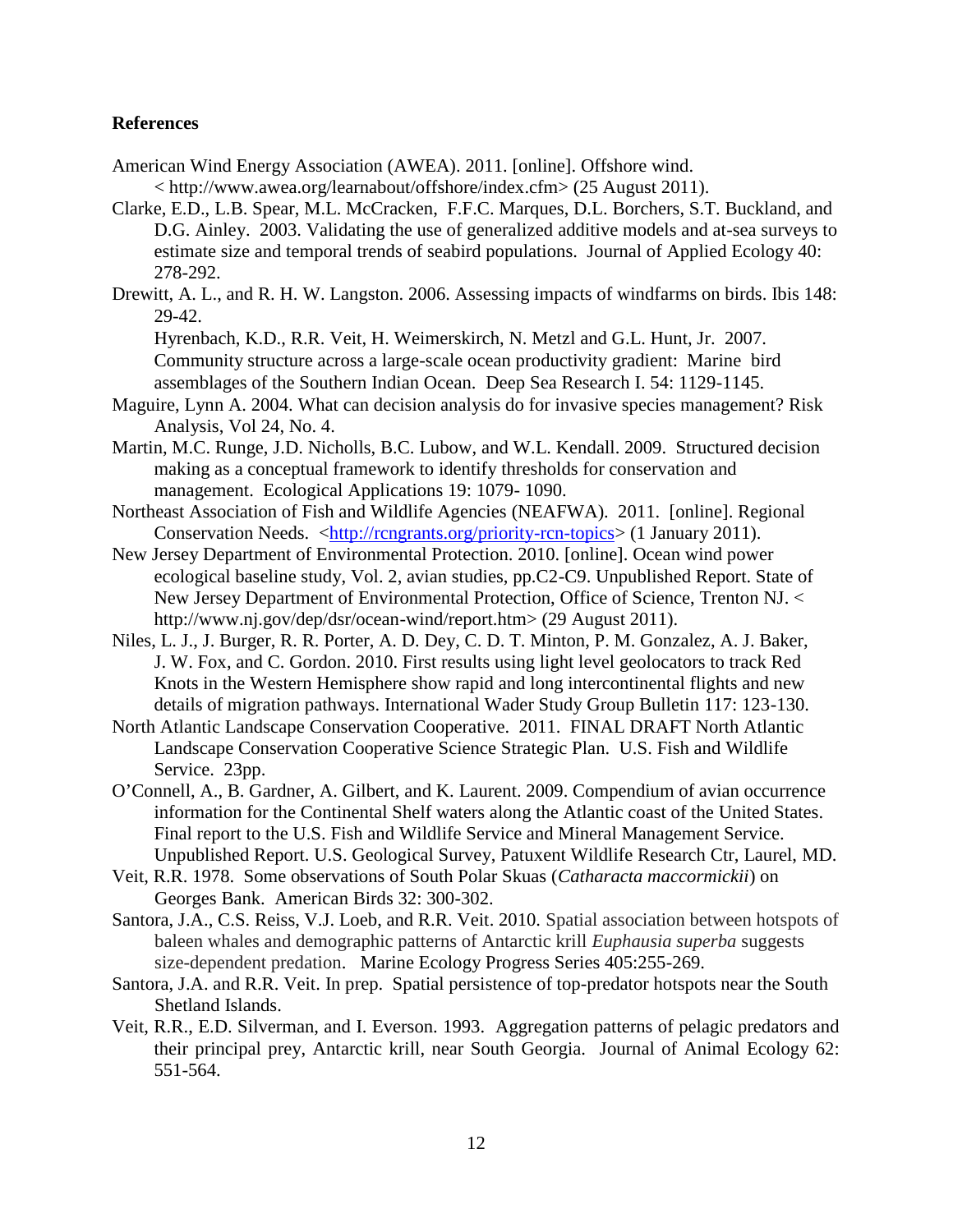### **References**

- American Wind Energy Association (AWEA). 2011. [online]. Offshore wind. < http://www.awea.org/learnabout/offshore/index.cfm> (25 August 2011).
- Clarke, E.D., L.B. Spear, M.L. McCracken, F.F.C. Marques, D.L. Borchers, S.T. Buckland, and D.G. Ainley. 2003. Validating the use of generalized additive models and at-sea surveys to estimate size and temporal trends of seabird populations. Journal of Applied Ecology 40: 278-292.
- Drewitt, A. L., and R. H. W. Langston. 2006. Assessing impacts of windfarms on birds. Ibis 148: 29-42.

Hyrenbach, K.D., R.R. Veit, H. Weimerskirch, N. Metzl and G.L. Hunt, Jr. 2007. Community structure across a large-scale ocean productivity gradient: Marine bird assemblages of the Southern Indian Ocean. Deep Sea Research I. 54: 1129-1145.

- Maguire, Lynn A. 2004. What can decision analysis do for invasive species management? Risk Analysis, Vol 24, No. 4.
- Martin, M.C. Runge, J.D. Nicholls, B.C. Lubow, and W.L. Kendall. 2009. Structured decision making as a conceptual framework to identify thresholds for conservation and management. Ecological Applications 19: 1079- 1090.
- Northeast Association of Fish and Wildlife Agencies (NEAFWA). 2011. [online]. Regional Conservation Needs. <http://rcngrants.org/priority-rcn-topics> (1 January 2011).
- New Jersey Department of Environmental Protection. 2010. [online]. Ocean wind power ecological baseline study, Vol. 2, avian studies, pp.C2-C9. Unpublished Report. State of New Jersey Department of Environmental Protection, Office of Science, Trenton NJ. < http://www.nj.gov/dep/dsr/ocean-wind/report.htm> (29 August 2011).
- Niles, L. J., J. Burger, R. R. Porter, A. D. Dey, C. D. T. Minton, P. M. Gonzalez, A. J. Baker, J. W. Fox, and C. Gordon. 2010. First results using light level geolocators to track Red Knots in the Western Hemisphere show rapid and long intercontinental flights and new details of migration pathways. International Wader Study Group Bulletin 117: 123-130.
- North Atlantic Landscape Conservation Cooperative. 2011. FINAL DRAFT North Atlantic Landscape Conservation Cooperative Science Strategic Plan. U.S. Fish and Wildlife Service. 23pp.
- O'Connell, A., B. Gardner, A. Gilbert, and K. Laurent. 2009. Compendium of avian occurrence information for the Continental Shelf waters along the Atlantic coast of the United States. Final report to the U.S. Fish and Wildlife Service and Mineral Management Service. Unpublished Report. U.S. Geological Survey, Patuxent Wildlife Research Ctr, Laurel, MD.
- Veit, R.R. 1978. Some observations of South Polar Skuas (*Catharacta maccormickii*) on Georges Bank. American Birds 32: 300-302.
- Santora, J.A., C.S. Reiss, V.J. Loeb, and R.R. Veit. 2010. Spatial association between hotspots of baleen whales and demographic patterns of Antarctic krill *Euphausia superba* suggests size-dependent predation. Marine Ecology Progress Series 405:255-269.
- Santora, J.A. and R.R. Veit. In prep. Spatial persistence of top-predator hotspots near the South Shetland Islands.
- Veit, R.R., E.D. Silverman, and I. Everson. 1993. Aggregation patterns of pelagic predators and their principal prey, Antarctic krill, near South Georgia. Journal of Animal Ecology 62: 551-564.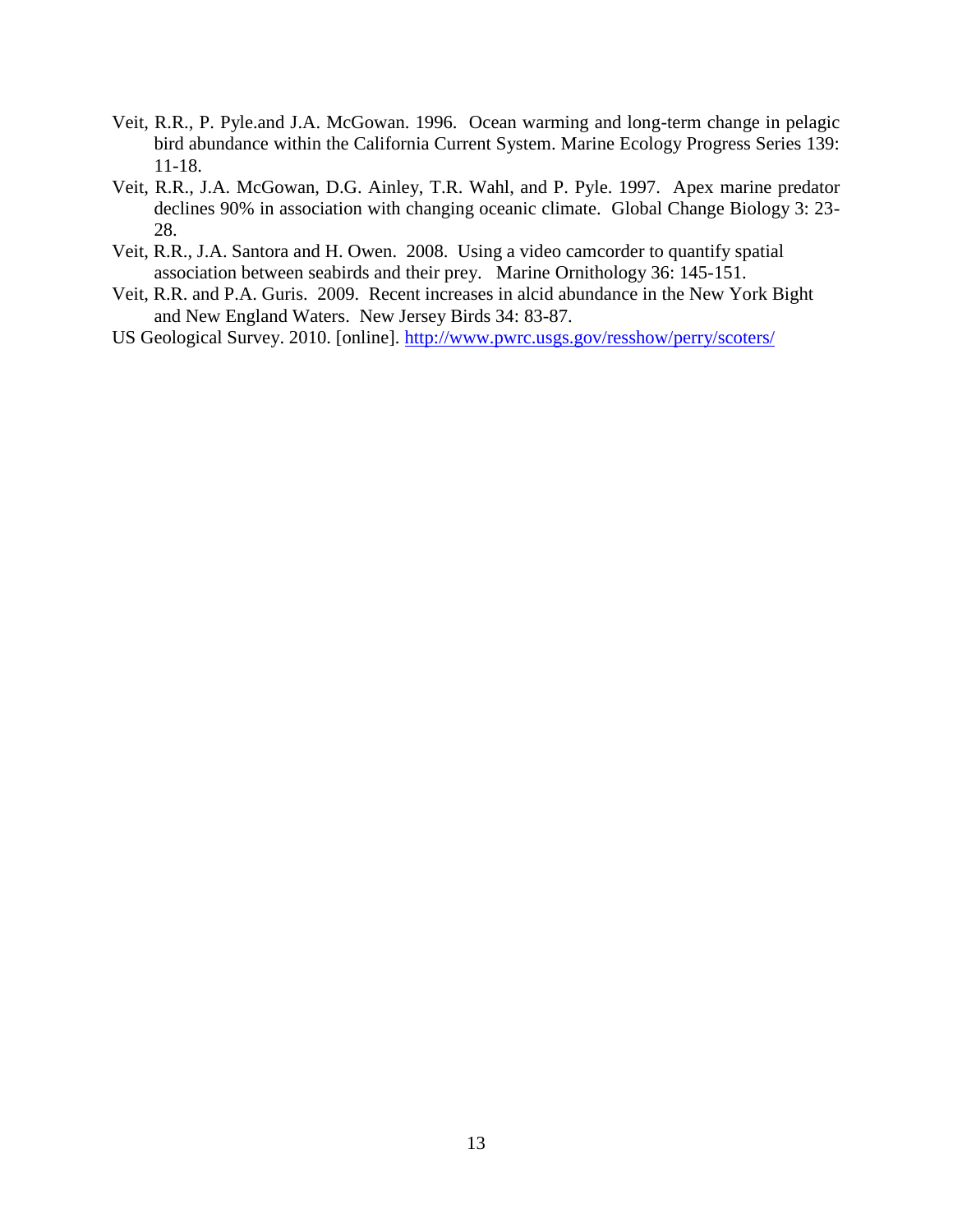- Veit, R.R., P. Pyle.and J.A. McGowan. 1996. Ocean warming and long-term change in pelagic bird abundance within the California Current System. Marine Ecology Progress Series 139: 11-18.
- Veit, R.R., J.A. McGowan, D.G. Ainley, T.R. Wahl, and P. Pyle. 1997. Apex marine predator declines 90% in association with changing oceanic climate. Global Change Biology 3: 23- 28.
- Veit, R.R., J.A. Santora and H. Owen. 2008. Using a video camcorder to quantify spatial association between seabirds and their prey. Marine Ornithology 36: 145-151.
- Veit, R.R. and P.A. Guris. 2009. Recent increases in alcid abundance in the New York Bight and New England Waters. New Jersey Birds 34: 83-87.
- US Geological Survey. 2010. [online]. http://www.pwrc.usgs.gov/resshow/perry/scoters/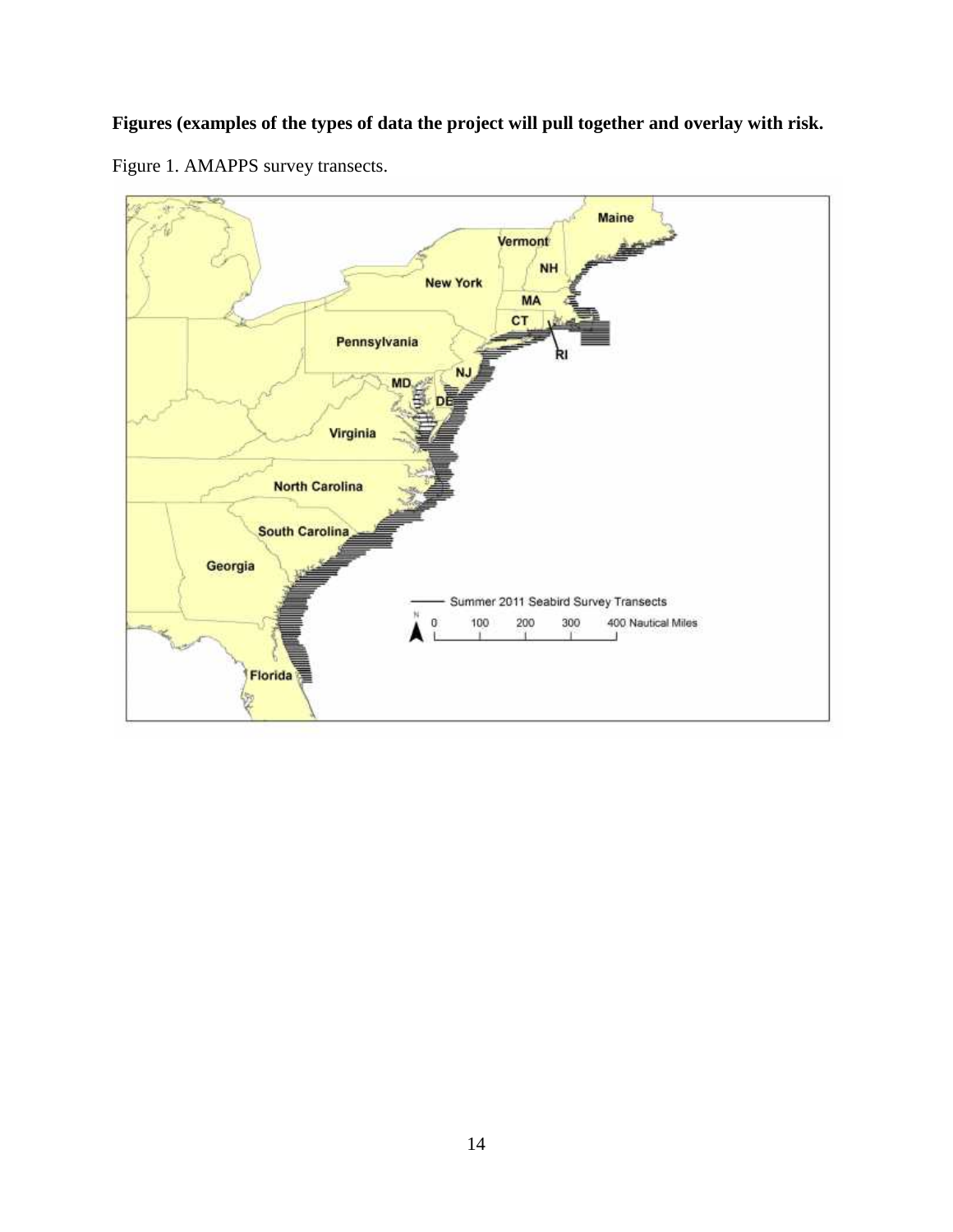# **Figures (examples of the types of data the project will pull together and overlay with risk.**



Figure 1. AMAPPS survey transects.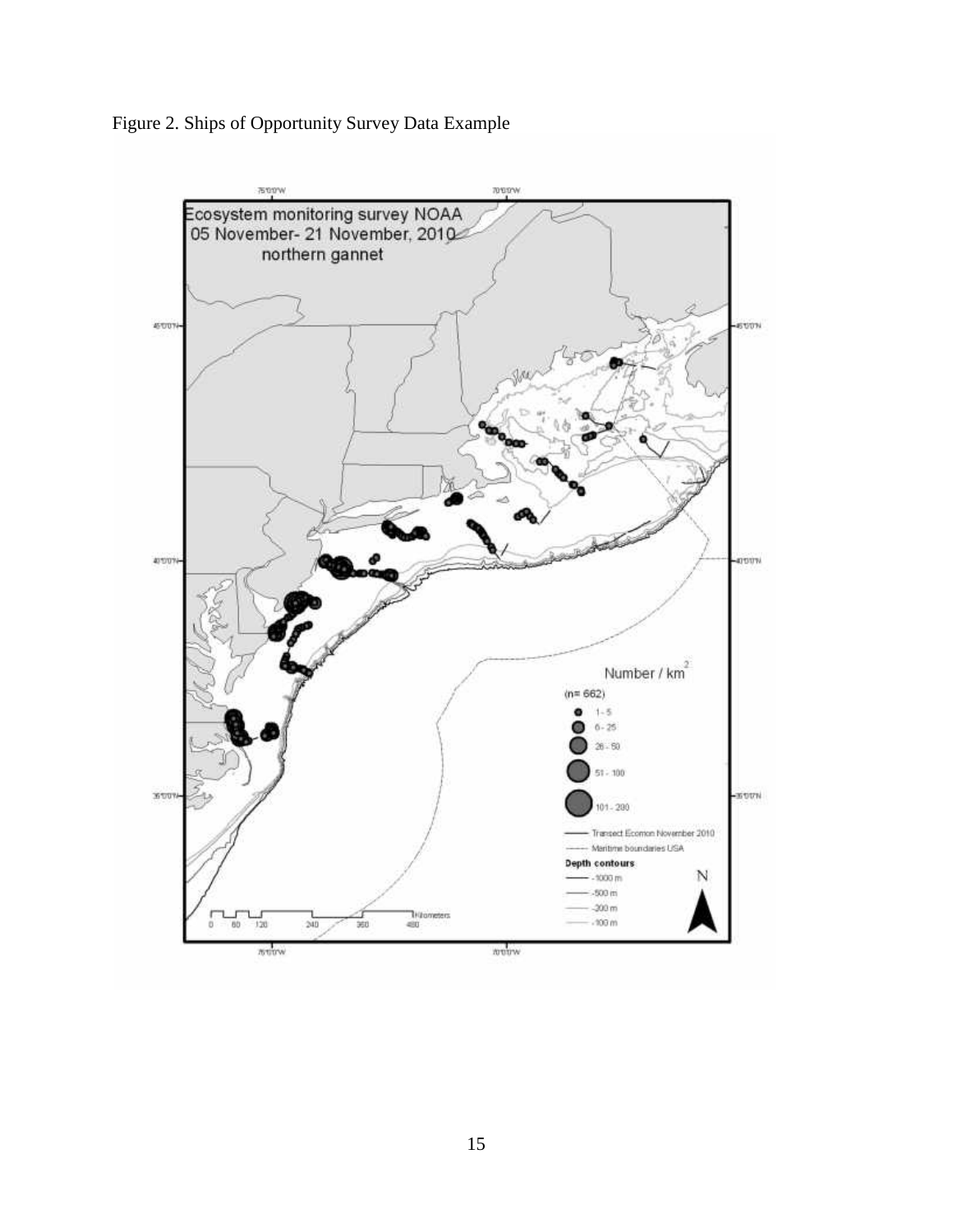

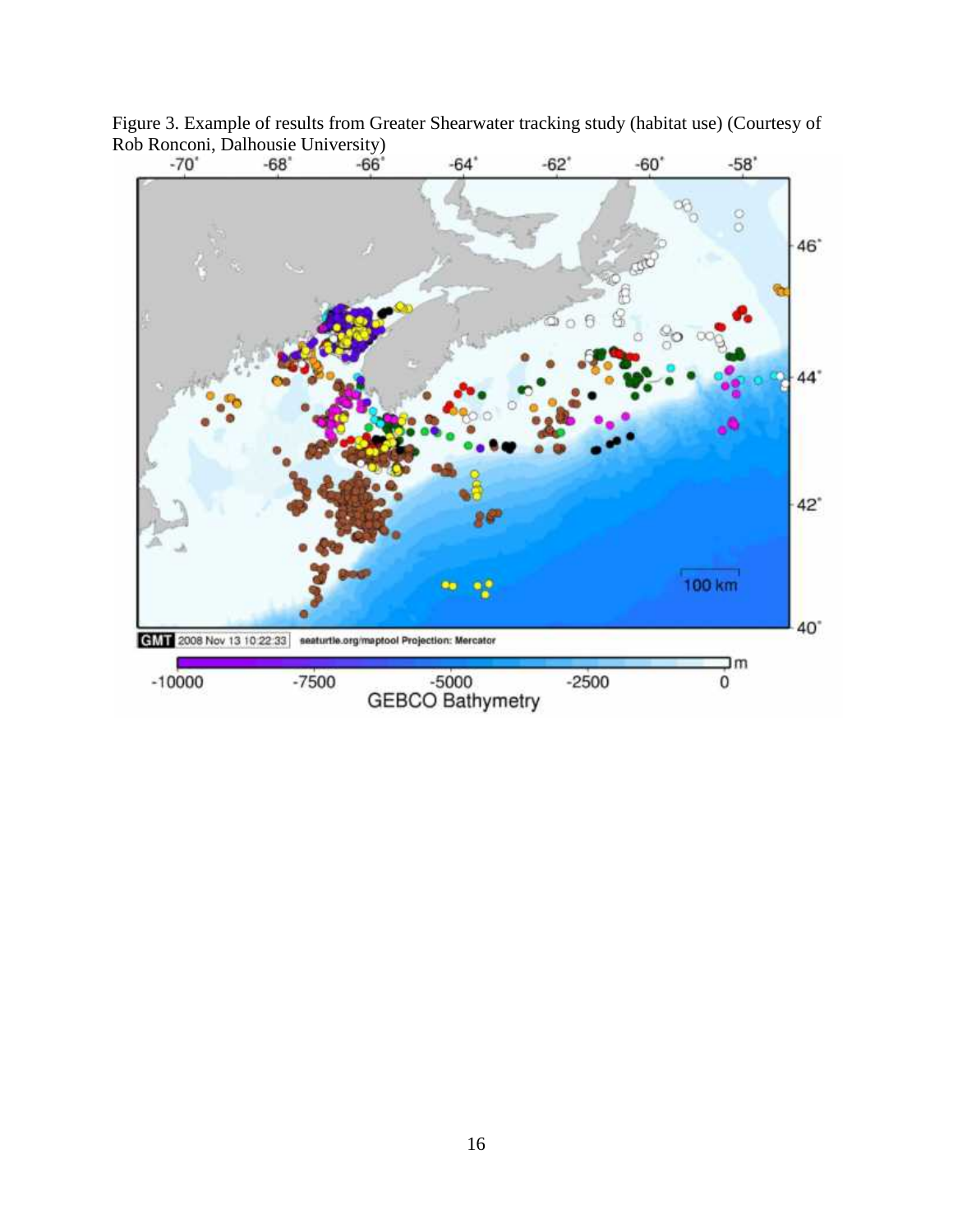Figure 3. Example of results from Greater Shearwater tracking study (habitat use) (Courtesy of Rob Ronconi, Dalhousie University)<br>-70' -68' -66'

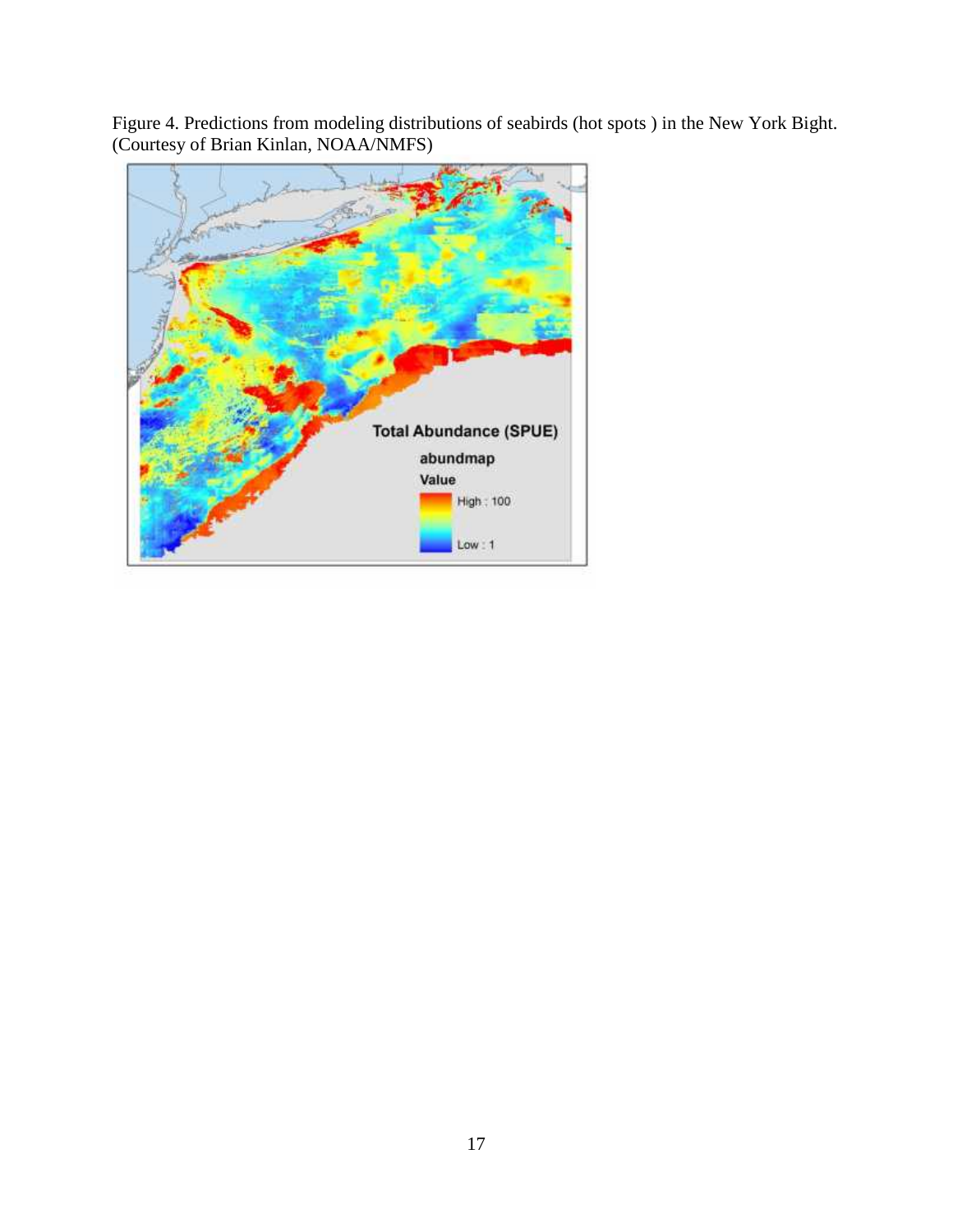Figure 4. Predictions from modeling distributions of seabirds (hot spots ) in the New York Bight. (Courtesy of Brian Kinlan, NOAA/NMFS)